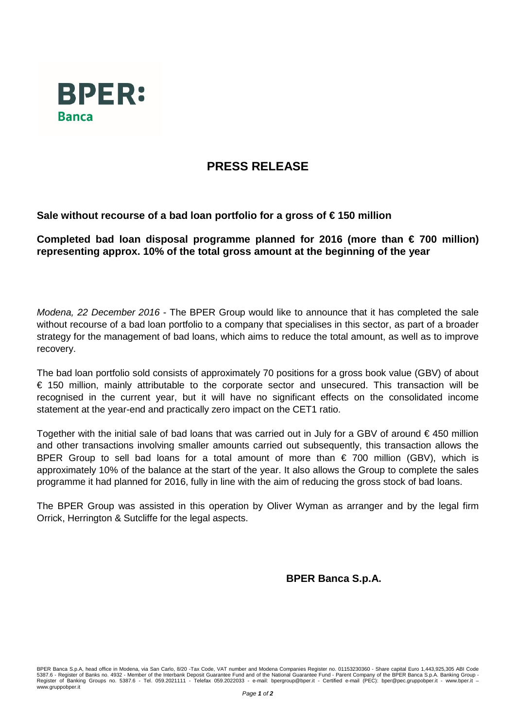

## **PRESS RELEASE**

**Sale without recourse of a bad loan portfolio for a gross of € 150 million** 

**Completed bad loan disposal programme planned for 2016 (more than € 700 million) representing approx. 10% of the total gross amount at the beginning of the year**

*Modena, 22 December 2016* - The BPER Group would like to announce that it has completed the sale without recourse of a bad loan portfolio to a company that specialises in this sector, as part of a broader strategy for the management of bad loans, which aims to reduce the total amount, as well as to improve recovery.

The bad loan portfolio sold consists of approximately 70 positions for a gross book value (GBV) of about € 150 million, mainly attributable to the corporate sector and unsecured. This transaction will be recognised in the current year, but it will have no significant effects on the consolidated income statement at the year-end and practically zero impact on the CET1 ratio.

Together with the initial sale of bad loans that was carried out in July for a GBV of around  $\epsilon$  450 million and other transactions involving smaller amounts carried out subsequently, this transaction allows the BPER Group to sell bad loans for a total amount of more than  $\epsilon$  700 million (GBV), which is approximately 10% of the balance at the start of the year. It also allows the Group to complete the sales programme it had planned for 2016, fully in line with the aim of reducing the gross stock of bad loans.

The BPER Group was assisted in this operation by Oliver Wyman as arranger and by the legal firm Orrick, Herrington & Sutcliffe for the legal aspects.

**BPER Banca S.p.A.**